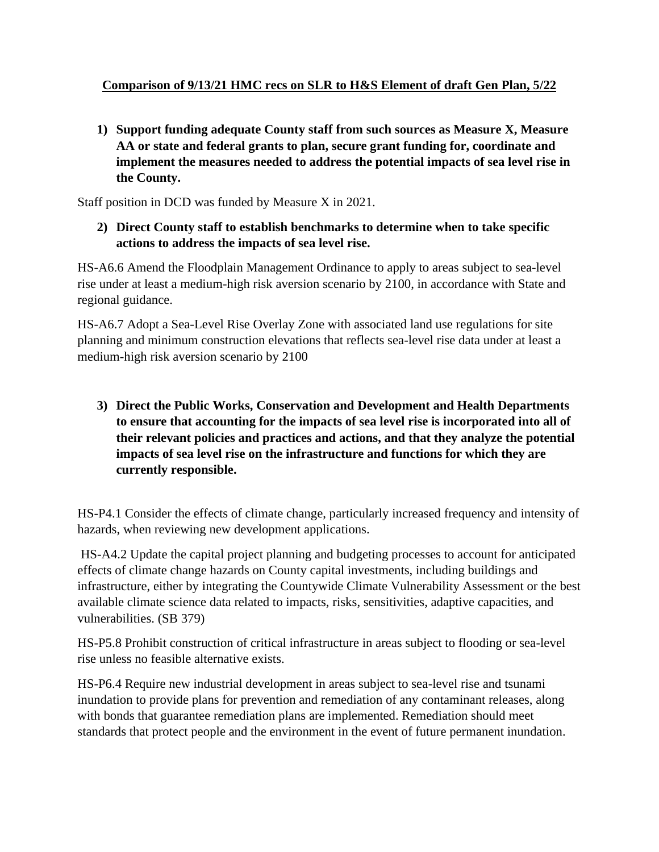## **Comparison of 9/13/21 HMC recs on SLR to H&S Element of draft Gen Plan, 5/22**

**1) Support funding adequate County staff from such sources as Measure X, Measure AA or state and federal grants to plan, secure grant funding for, coordinate and implement the measures needed to address the potential impacts of sea level rise in the County.** 

Staff position in DCD was funded by Measure X in 2021.

**2) Direct County staff to establish benchmarks to determine when to take specific actions to address the impacts of sea level rise.**

HS-A6.6 Amend the Floodplain Management Ordinance to apply to areas subject to sea-level rise under at least a medium-high risk aversion scenario by 2100, in accordance with State and regional guidance.

HS-A6.7 Adopt a Sea-Level Rise Overlay Zone with associated land use regulations for site planning and minimum construction elevations that reflects sea-level rise data under at least a medium-high risk aversion scenario by 2100

**3) Direct the Public Works, Conservation and Development and Health Departments to ensure that accounting for the impacts of sea level rise is incorporated into all of their relevant policies and practices and actions, and that they analyze the potential impacts of sea level rise on the infrastructure and functions for which they are currently responsible.** 

HS-P4.1 Consider the effects of climate change, particularly increased frequency and intensity of hazards, when reviewing new development applications.

HS-A4.2 Update the capital project planning and budgeting processes to account for anticipated effects of climate change hazards on County capital investments, including buildings and infrastructure, either by integrating the Countywide Climate Vulnerability Assessment or the best available climate science data related to impacts, risks, sensitivities, adaptive capacities, and vulnerabilities. (SB 379)

HS-P5.8 Prohibit construction of critical infrastructure in areas subject to flooding or sea-level rise unless no feasible alternative exists.

HS-P6.4 Require new industrial development in areas subject to sea-level rise and tsunami inundation to provide plans for prevention and remediation of any contaminant releases, along with bonds that guarantee remediation plans are implemented. Remediation should meet standards that protect people and the environment in the event of future permanent inundation.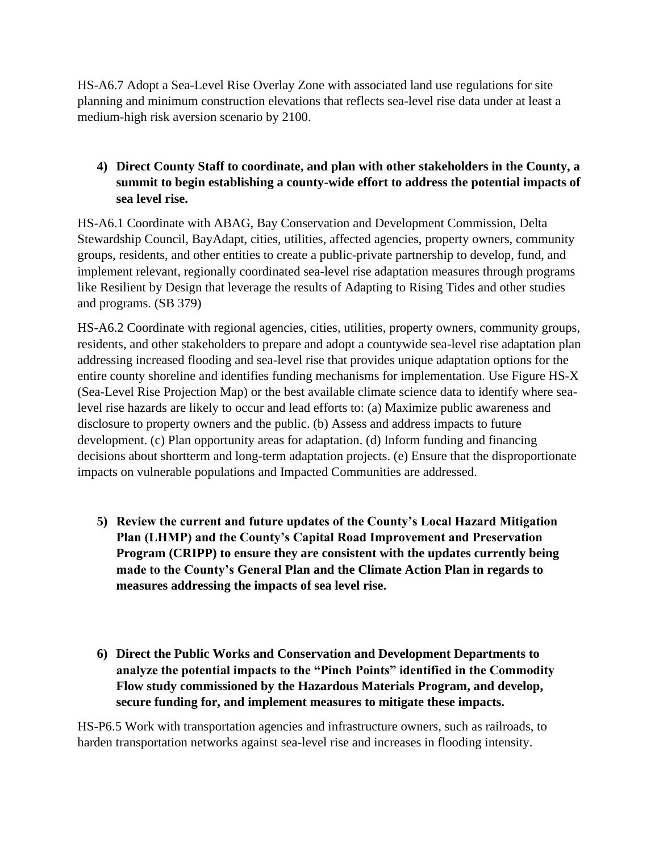HS-A6.7 Adopt a Sea-Level Rise Overlay Zone with associated land use regulations for site planning and minimum construction elevations that reflects sea-level rise data under at least a medium-high risk aversion scenario by 2100.

## **4) Direct County Staff to coordinate, and plan with other stakeholders in the County, a summit to begin establishing a county-wide effort to address the potential impacts of sea level rise.**

HS-A6.1 Coordinate with ABAG, Bay Conservation and Development Commission, Delta Stewardship Council, BayAdapt, cities, utilities, affected agencies, property owners, community groups, residents, and other entities to create a public-private partnership to develop, fund, and implement relevant, regionally coordinated sea-level rise adaptation measures through programs like Resilient by Design that leverage the results of Adapting to Rising Tides and other studies and programs. (SB 379)

HS-A6.2 Coordinate with regional agencies, cities, utilities, property owners, community groups, residents, and other stakeholders to prepare and adopt a countywide sea-level rise adaptation plan addressing increased flooding and sea-level rise that provides unique adaptation options for the entire county shoreline and identifies funding mechanisms for implementation. Use Figure HS-X (Sea-Level Rise Projection Map) or the best available climate science data to identify where sealevel rise hazards are likely to occur and lead efforts to: (a) Maximize public awareness and disclosure to property owners and the public. (b) Assess and address impacts to future development. (c) Plan opportunity areas for adaptation. (d) Inform funding and financing decisions about shortterm and long-term adaptation projects. (e) Ensure that the disproportionate impacts on vulnerable populations and Impacted Communities are addressed.

- **5) Review the current and future updates of the County's Local Hazard Mitigation Plan (LHMP) and the County's Capital Road Improvement and Preservation Program (CRIPP) to ensure they are consistent with the updates currently being made to the County's General Plan and the Climate Action Plan in regards to measures addressing the impacts of sea level rise.**
- **6) Direct the Public Works and Conservation and Development Departments to analyze the potential impacts to the "Pinch Points" identified in the Commodity Flow study commissioned by the Hazardous Materials Program, and develop, secure funding for, and implement measures to mitigate these impacts.**

HS-P6.5 Work with transportation agencies and infrastructure owners, such as railroads, to harden transportation networks against sea-level rise and increases in flooding intensity.